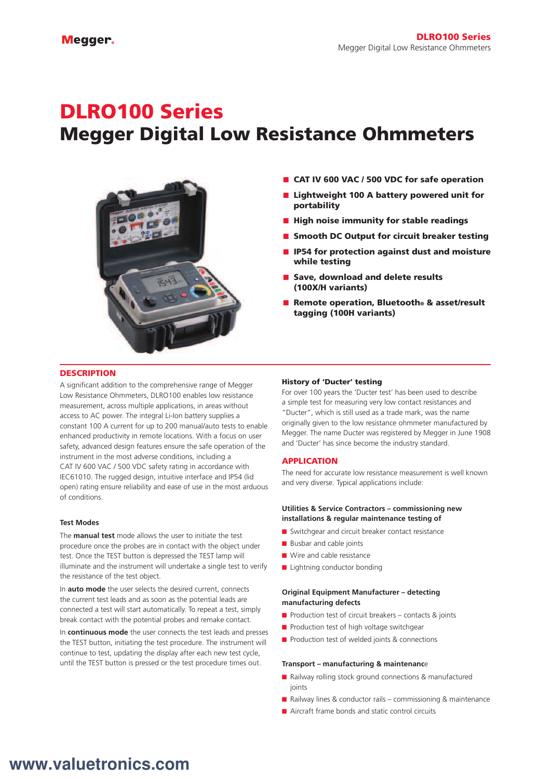# DLRO100 Series Megger Digital Low Resistance Ohmmeters



- CAT IV 600 VAC / 500 VDC for safe operation
- Lightweight 100 A battery powered unit for portability
- High noise immunity for stable readings
- Smooth DC Output for circuit breaker testing
- **IF54 for protection against dust and moisture** while testing
- Save, download and delete results (100X/H variants)
- Remote operation, Bluetooth® & asset/result tagging (100H variants)

#### **DESCRIPTION**

A significant addition to the comprehensive range of Megger Low Resistance Ohmmeters, DLRO100 enables low resistance measurement, across multiple applications, in areas without access to AC power. The integral Li-Ion battery supplies a constant 100 A current for up to 200 manual/auto tests to enable enhanced productivity in remote locations. With a focus on user safety, advanced design features ensure the safe operation of the instrument in the most adverse conditions, including a CAT IV 600 VAC / 500 VDC safety rating in accordance with IEC61010. The rugged design, intuitive interface and IP54 (lid open) rating ensure reliability and ease of use in the most arduous of conditions.

#### **Test Modes**

The **manual test** mode allows the user to initiate the test procedure once the probes are in contact with the object under test. Once the TEST button is depressed the TEST lamp will illuminate and the instrument will undertake a single test to verify the resistance of the test object.

In **auto mode** the user selects the desired current, connects the current test leads and as soon as the potential leads are connected a test will start automatically. To repeat a test, simply break contact with the potential probes and remake contact.

In **continuous mode** the user connects the test leads and presses the TEST button, initiating the test procedure. The instrument will continue to test, updating the display after each new test cycle, until the TEST button is pressed or the test procedure times out.

#### History of 'Ducter' testing

For over 100 years the 'Ducter test' has been used to describe a simple test for measuring very low contact resistances and "Ducter", which is still used as a trade mark, was the name originally given to the low resistance ohmmeter manufactured by Megger. The name Ducter was registered by Megger in June 1908 and 'Ducter' has since become the industry standard.

#### APPLICATION

The need for accurate low resistance measurement is well known and very diverse. Typical applications include:

#### **Utilities & Service Contractors – commissioning new installations & regular maintenance testing of**

- Switchgear and circuit breaker contact resistance
- Busbar and cable joints
- Wire and cable resistance
- Lightning conductor bonding

#### **Original Equipment Manufacturer – detecting manufacturing defects**

- $\blacksquare$  Production test of circuit breakers contacts & joints
- Production test of high voltage switchgear
- Production test of welded joints & connections

#### **Transport – manufacturing & maintenanc**e

- Railway rolling stock ground connections & manufactured joints
- Railway lines & conductor rails commissioning & maintenance
- Aircraft frame bonds and static control circuits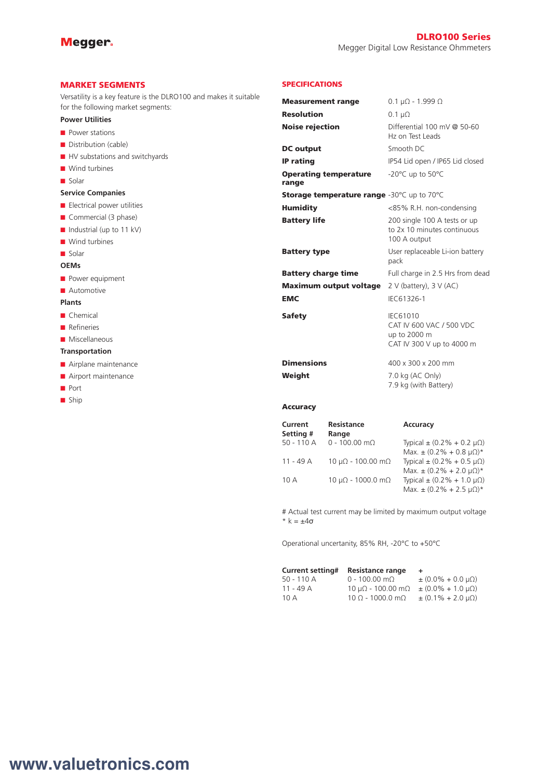#### MARKET SEGMENTS

Versatility is a key feature is the DLRO100 and makes it suitable for the following market segments:

#### **Power Utilities**

- Power stations
- Distribution (cable)
- HV substations and switchyards
- Wind turbines
- Solar

#### **Service Companies**

- Electrical power utilities
- Commercial (3 phase)
- Industrial (up to 11 kV)
- Wind turbines
- Solar

#### **OEMs**

- Power equipment
- Automotive

#### **Plants**

- Chemical
- Refineries
- Miscellaneous

#### **Transportation**

- Airplane maintenance
- Airport maintenance
- Port
- Ship

#### SPECIFICATIONS

| <b>Measurement range</b>                   | $0.1 \mu\Omega$ - 1.999 $\Omega$                                                         |
|--------------------------------------------|------------------------------------------------------------------------------------------|
| <b>Resolution</b>                          | $0.1 \mu\Omega$                                                                          |
| <b>Noise rejection</b>                     | Differential $100 \text{ mV}$ @ 50-60<br>Hz on Test Leads                                |
| <b>DC</b> output                           | Smooth DC                                                                                |
| <b>IP rating</b>                           | IP54 Lid open / IP65 Lid closed                                                          |
| <b>Operating temperature</b><br>range      | -20 $^{\circ}$ C up to 50 $^{\circ}$ C                                                   |
| Storage temperature range -30°C up to 70°C |                                                                                          |
| Humidity                                   | <85% R.H. non-condensing                                                                 |
| <b>Battery life</b>                        | 200 single 100 A tests or up<br>to 2x 10 minutes continuous<br>100 A output              |
| <b>Battery type</b>                        | User replaceable Li-ion battery<br>pack                                                  |
| <b>Battery charge time</b>                 | Full charge in 2.5 Hrs from dead                                                         |
| <b>Maximum output voltage</b>              | 2 V (battery), $3$ V (AC)                                                                |
| <b>EMC</b>                                 | IEC61326-1                                                                               |
| Safety                                     | <b>IEC61010</b><br>CAT IV 600 VAC / 500 VDC<br>up to 2000 m<br>CAT IV 300 V up to 4000 m |
| <b>Dimensions</b>                          | 400 x 300 x 200 mm                                                                       |
| Weight                                     | 7.0 kg (AC Only)<br>7.9 kg (with Battery)                                                |

#### Accuracy

| Current     | <b>Resistance</b>                  | <b>Accuracy</b>                         |
|-------------|------------------------------------|-----------------------------------------|
| Setting #   | Range                              |                                         |
| 50 - 110 A  | $0 - 100.00$ m $\Omega$            | Typical $\pm$ (0.2% + 0.2 $\mu\Omega$ ) |
|             |                                    | Max. $\pm (0.2\% + 0.8 \,\mu\Omega)^*$  |
| $11 - 49$ A | $10 \mu\Omega$ - 100.00 m $\Omega$ | Typical $\pm (0.2\% + 0.5 \,\mu\Omega)$ |
|             |                                    | Max. $\pm$ (0.2% + 2.0 $\mu\Omega$ )*   |
| 10A         | $10 \mu\Omega$ - 1000.0 m $\Omega$ | Typical ± (0.2% + 1.0 μΩ)               |
|             |                                    | Max. $\pm (0.2\% + 2.5 \,\mu\Omega)^*$  |

# Actual test current may be limited by maximum output voltage  $* k = \pm 4\sigma$ 

Operational uncertanity, 85% RH, -20°C to +50°C

| <b>Current setting#</b> | <b>Resistance range</b>             | $+$                             |
|-------------------------|-------------------------------------|---------------------------------|
| $50 - 110A$             | $0 - 100.00 \text{ m}\Omega$        | $\pm (0.0\% + 0.0 \,\mu\Omega)$ |
| $11 - 49$ A             | $10 \mu\Omega$ - $100.00 \mu\Omega$ | $\pm (0.0\% + 1.0 \,\mu\Omega)$ |
| 10A                     | $10 \Omega - 1000.0 \text{ mA}$     | $\pm (0.1\% + 2.0 \,\mu\Omega)$ |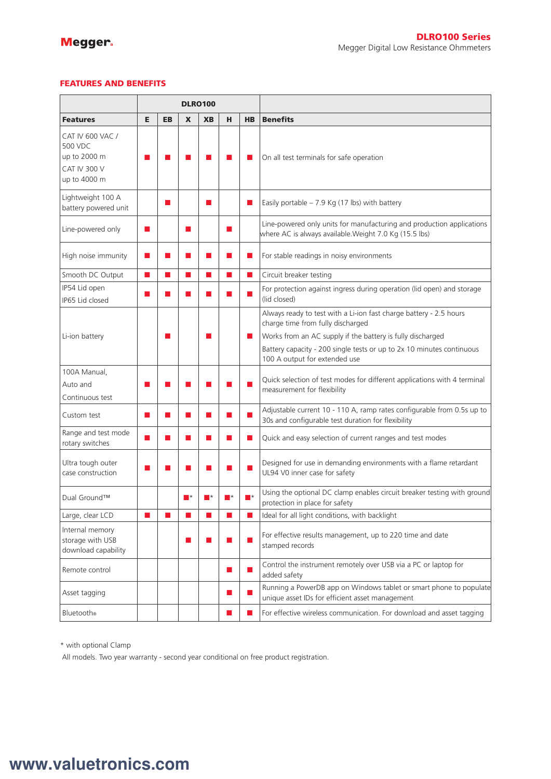### FEATURES AND BENEFITS

|                                                                                    | <b>DLRO100</b> |           |    |           |                                                                                                                                                                                                                                 |           |                                                                                                                                                                                                                                                                                 |
|------------------------------------------------------------------------------------|----------------|-----------|----|-----------|---------------------------------------------------------------------------------------------------------------------------------------------------------------------------------------------------------------------------------|-----------|---------------------------------------------------------------------------------------------------------------------------------------------------------------------------------------------------------------------------------------------------------------------------------|
| <b>Features</b>                                                                    | Е              | <b>EB</b> | X  | <b>XB</b> | н                                                                                                                                                                                                                               | <b>HB</b> | <b>Benefits</b>                                                                                                                                                                                                                                                                 |
| CAT IV 600 VAC /<br>500 VDC<br>up to 2000 m<br><b>CAT IV 300 V</b><br>up to 4000 m |                |           |    |           |                                                                                                                                                                                                                                 |           | On all test terminals for safe operation                                                                                                                                                                                                                                        |
| Lightweight 100 A<br>battery powered unit                                          |                |           |    |           |                                                                                                                                                                                                                                 |           | Easily portable $-7.9$ Kg (17 lbs) with battery                                                                                                                                                                                                                                 |
| Line-powered only                                                                  |                |           | ▅  |           |                                                                                                                                                                                                                                 |           | Line-powered only units for manufacturing and production applications<br>where AC is always available. Weight 7.0 Kg (15.5 lbs)                                                                                                                                                 |
| High noise immunity                                                                | П              |           | ш  |           | ш                                                                                                                                                                                                                               |           | For stable readings in noisy environments                                                                                                                                                                                                                                       |
| Smooth DC Output                                                                   | ▅              |           | ×. |           | ×                                                                                                                                                                                                                               | ٠         | Circuit breaker testing                                                                                                                                                                                                                                                         |
| IP54 Lid open<br>IP65 Lid closed                                                   |                |           |    |           |                                                                                                                                                                                                                                 |           | For protection against ingress during operation (lid open) and storage<br>(lid closed)                                                                                                                                                                                          |
| Li-ion battery                                                                     |                |           |    |           |                                                                                                                                                                                                                                 |           | Always ready to test with a Li-ion fast charge battery - 2.5 hours<br>charge time from fully discharged<br>Works from an AC supply if the battery is fully discharged<br>Battery capacity - 200 single tests or up to 2x 10 minutes continuous<br>100 A output for extended use |
| 100A Manual,<br>Auto and<br>Continuous test                                        |                |           |    |           |                                                                                                                                                                                                                                 |           | Quick selection of test modes for different applications with 4 terminal<br>measurement for flexibility                                                                                                                                                                         |
| Custom test                                                                        | ш              |           |    |           | ×                                                                                                                                                                                                                               |           | Adjustable current 10 - 110 A, ramp rates configurable from 0.5s up to<br>30s and configurable test duration for flexibility                                                                                                                                                    |
| Range and test mode<br>rotary switches                                             |                |           |    |           | H                                                                                                                                                                                                                               | ٠         | Quick and easy selection of current ranges and test modes                                                                                                                                                                                                                       |
| Ultra tough outer<br>case construction                                             |                |           |    |           |                                                                                                                                                                                                                                 |           | Designed for use in demanding environments with a flame retardant<br>UL94 V0 inner case for safety                                                                                                                                                                              |
| Dual Ground™                                                                       |                |           |    |           |                                                                                                                                                                                                                                 |           | Using the optional DC clamp enables circuit breaker testing with ground<br>protection in place for safety                                                                                                                                                                       |
| Large, clear LCD                                                                   | ш              | ш         | п  | ш         | $\mathbf{r}$                                                                                                                                                                                                                    | a a       | Ideal for all light conditions, with backlight                                                                                                                                                                                                                                  |
| Internal memory<br>storage with USB<br>download capability                         |                |           | П  |           | e en la provincia del control del control del control del control del control del control del control del cont<br>En la control del control del control del control del control del control del control del control del control |           | For effective results management, up to 220 time and date<br>stamped records                                                                                                                                                                                                    |
| Remote control                                                                     |                |           |    |           |                                                                                                                                                                                                                                 |           | Control the instrument remotely over USB via a PC or laptop for<br>added safety                                                                                                                                                                                                 |
| Asset tagging                                                                      |                |           |    |           | u.                                                                                                                                                                                                                              |           | Running a PowerDB app on Windows tablet or smart phone to populate<br>unique asset IDs for efficient asset management                                                                                                                                                           |
| <b>Bluetooth®</b>                                                                  |                |           |    |           | L.                                                                                                                                                                                                                              |           | For effective wireless communication. For download and asset tagging                                                                                                                                                                                                            |

\* with optional Clamp

All models. Two year warranty - second year conditional on free product registration.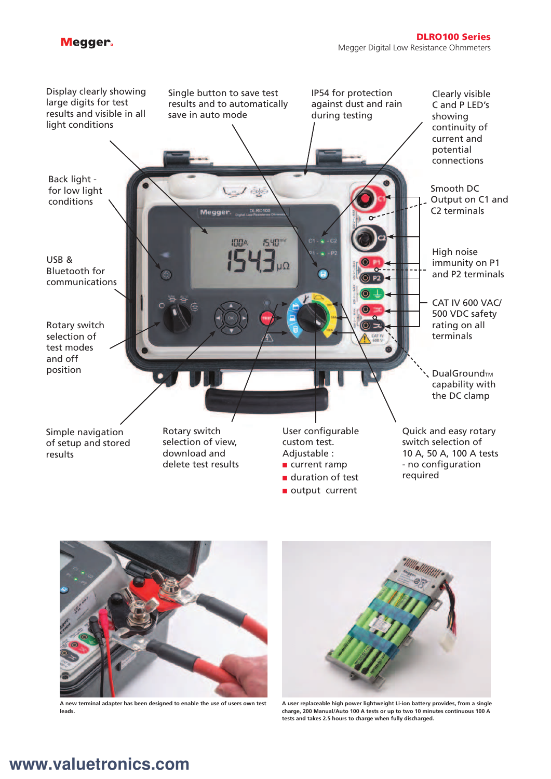## Megger.





**A new terminal adapter has been designed to enable the use of users own test leads.**



**A user replaceable high power lightweight Li-ion battery provides, from a single charge, 200 Manual/Auto 100 A tests or up to two 10 minutes continuous 100 A tests and takes 2.5 hours to charge when fully discharged.**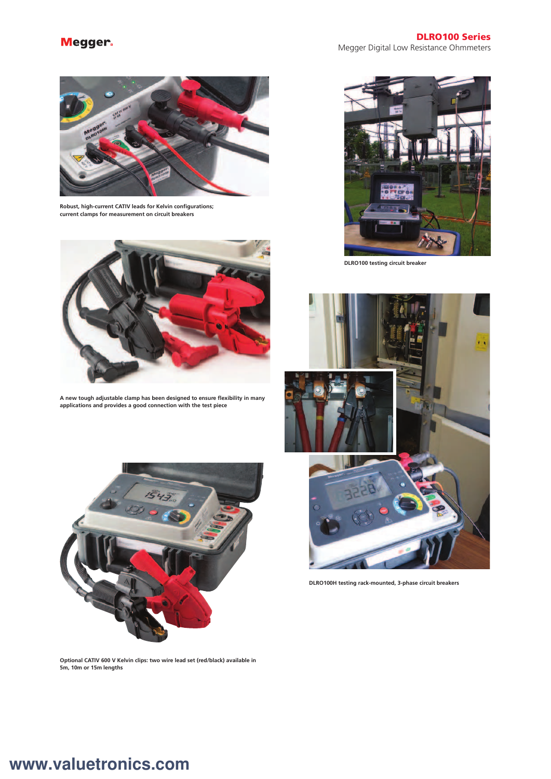## Megger.



**Robust, high-current CATIV leads for Kelvin configurations; current clamps for measurement on circuit breakers**



**A new tough adjustable clamp has been designed to ensure flexibility in many applications and provides a good connection with the test piece**





**DLRO100 testing circuit breaker**



**DLRO100H testing rack-mounted, 3-phase circuit breakers**

**Optional CATIV 600 V Kelvin clips: two wire lead set (red/black) available in 5m, 10m or 15m lengths**